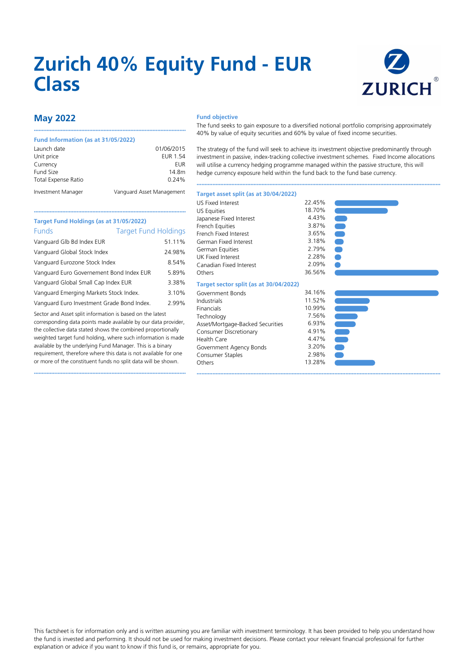# **Zurich 40% Equity Fund - EUR Class**



# **May 2022**

## **Fund Information (as at 31/05/2022)**

**Target Fund Holdings (as at 31/05/2022)**

| Launch date                | 01/06/2015                |
|----------------------------|---------------------------|
| Unit price                 | <b>EUR 1.54</b>           |
| Currency                   | EUR                       |
| Fund Size                  | 14.8m                     |
| <b>Total Expense Ratio</b> | 0.24%                     |
| Investment Manager         | Vanguard Asset Management |

••••••••••••••••••••••••••••••••••••••••••••••••••••••••••••••••••••••••••••••••••••••••••••••••

••••••••••••••••••••••••••••••••••••••••••••••••••••••••••••••••••••••••••••••••••••••••••••••••

## **Fund objective**

The fund seeks to gain exposure to a diversified notional portfolio comprising approximately 40% by value of equity securities and 60% by value of fixed income securities.

The strategy of the fund will seek to achieve its investment objective predominantly through investment in passive, index-tracking collective investment schemes. Fixed Income allocations will utilise a currency hedging programme managed within the passive structure, this will hedge currency exposure held within the fund back to the fund base currency.

••••••••••••••••••••••••••••••••••••••••••••••••••••••••••••••••••••••••••••••••••••••••••••••••••••••••••••••••••••••••••••••••••••••••••••••••••••••••••

#### •••••••••••••••••••••••••••••••••••••••••••••••••••••••••••••••••••••••••••••••••••••••••••••••• Funds Target Fund Holdings Vanguard Glb Bd Index EUR 51.11% Vanguard Global Stock Index 24.98% Vanguard Eurozone Stock Index 8.54% Vanguard Euro Governement Bond Index EUR 5.89% Vanguard Global Small Cap Index EUR 3.38% Vanguard Emerging Markets Stock Index. 3.10% Vanguard Euro Investment Grade Bond Index. 2.99% Sector and Asset split information is based on the latest corresponding data points made available by our data provider, the collective data stated shows the combined proportionally weighted target fund holding, where such information is made available by the underlying Fund Manager. This is a binary requirement, therefore where this data is not available for one or more of the constituent funds no split data will be shown. US Fixed Interest 22.45%<br>
US Fauities 28.70% US Equities 18.70%<br>
Iananese Eixed Interest 18.70% Japanese Fixed Interest 4.43% French Equities 3.87%<br>French Eixed Interest 3.65% French Fixed Interest 3.65%<br>German Fixed Interest 3.18% German Fixed Interest 3.18%<br>German Fquities 3.79% German Equities 2.79%<br>UK Fixed Interest 2.28% UK Fixed Interest 2.28%<br>Canadian Fixed Interest 2.09% Canadian Fixed Interest Others 36.56% **Target sector split (as at 30/04/2022)** Government Bonds<br>
Industrials
11.52% Industrials 11.52% Financials 10.99%<br>Technology 156% 7.56% Technology Asset/Mortgage-Backed Securities 6.93% Consumer Discretionary Health Care 4.47%<br>Government Agency Bonds 3.20% Government Agency Bonds 3.20%<br>Consumer Stanles 3.98% Consumer Staples Others 13.28%

**Target asset split (as at 30/04/2022)**



This factsheet is for information only and is written assuming you are familiar with investment terminology. It has been provided to help you understand how the fund is invested and performing. It should not be used for making investment decisions. Please contact your relevant financial professional for further explanation or advice if you want to know if this fund is, or remains, appropriate for you.